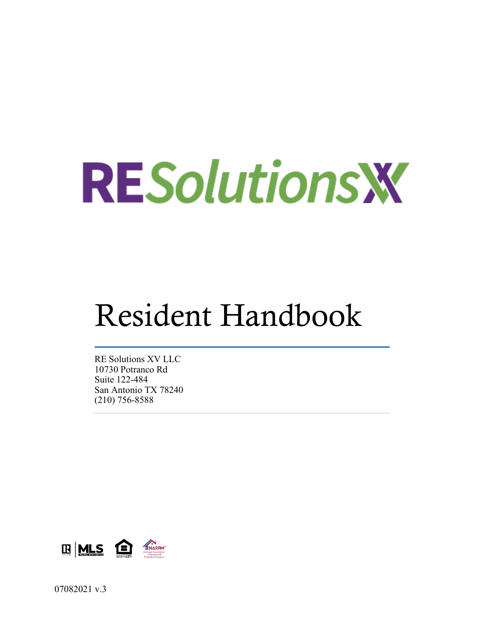# **RESolutions W**

# Resident Handbook

RE Solutions XV LLC 10730 Potranco Rd Suite 122-484 San Antonio TX 78240 (210) 756-8588

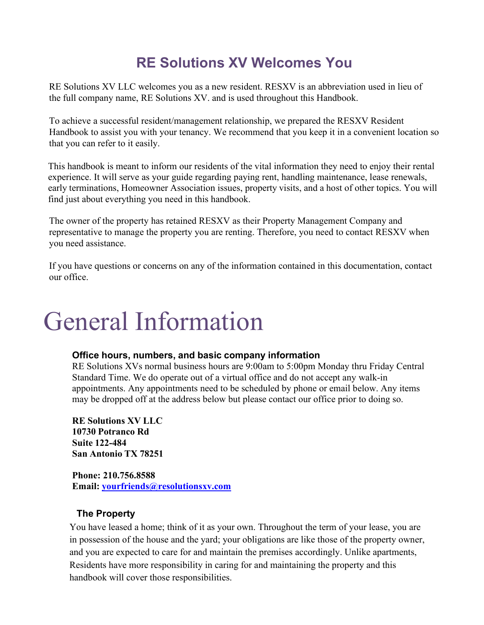# **RE Solutions XV Welcomes You**

RE Solutions XV LLC welcomes you as a new resident. RESXV is an abbreviation used in lieu of the full company name, RE Solutions XV. and is used throughout this Handbook.

To achieve a successful resident/management relationship, we prepared the RESXV Resident Handbook to assist you with your tenancy. We recommend that you keep it in a convenient location so that you can refer to it easily.

This handbook is meant to inform our residents of the vital information they need to enjoy their rental experience. It will serve as your guide regarding paying rent, handling maintenance, lease renewals, early terminations, Homeowner Association issues, property visits, and a host of other topics. You will find just about everything you need in this handbook.

The owner of the property has retained RESXV as their Property Management Company and representative to manage the property you are renting. Therefore, you need to contact RESXV when you need assistance.

If you have questions or concerns on any of the information contained in this documentation, contact our office.

# General Information

#### **Office hours, numbers, and basic company information**

RE Solutions XVs normal business hours are 9:00am to 5:00pm Monday thru Friday Central Standard Time. We do operate out of a virtual office and do not accept any walk-in appointments. Any appointments need to be scheduled by phone or email below. Any items may be dropped off at the address below but please contact our office prior to doing so.

**RE Solutions XV LLC 10730 Potranco Rd Suite 122-484 San Antonio TX 78251**

**Phone: 210.756.8588 Email: [yourfriends@resolutionsxv.com](mailto:yourfriends@resolutionsxv.com)**

# **The Property**

You have leased a home; think of it as your own. Throughout the term of your lease, you are in possession of the house and the yard; your obligations are like those of the property owner, and you are expected to care for and maintain the premises accordingly. Unlike apartments, Residents have more responsibility in caring for and maintaining the property and this handbook will cover those responsibilities.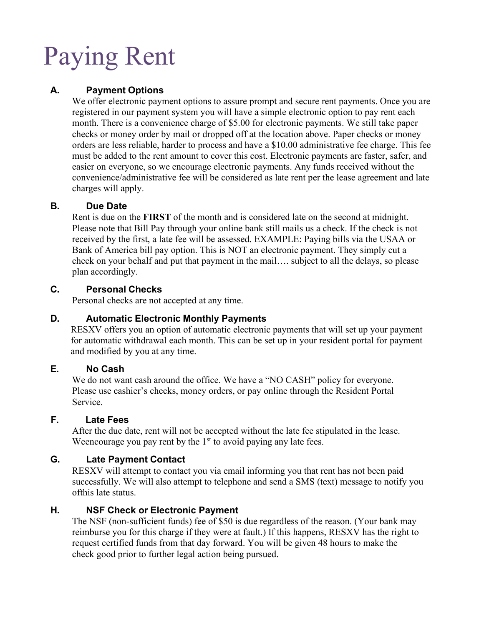# Paying Rent

# **A. Payment Options**

We offer electronic payment options to assure prompt and secure rent payments. Once you are registered in our payment system you will have a simple electronic option to pay rent each month. There is a convenience charge of \$5.00 for electronic payments. We still take paper checks or money order by mail or dropped off at the location above. Paper checks or money orders are less reliable, harder to process and have a \$10.00 administrative fee charge. This fee must be added to the rent amount to cover this cost. Electronic payments are faster, safer, and easier on everyone, so we encourage electronic payments. Any funds received without the convenience/administrative fee will be considered as late rent per the lease agreement and late charges will apply.

# **B. Due Date**

Rent is due on the **FIRST** of the month and is considered late on the second at midnight. Please note that Bill Pay through your online bank still mails us a check. If the check is not received by the first, a late fee will be assessed. EXAMPLE: Paying bills via the USAA or Bank of America bill pay option. This is NOT an electronic payment. They simply cut a check on your behalf and put that payment in the mail…. subject to all the delays, so please plan accordingly.

### **C. Personal Checks**

Personal checks are not accepted at any time.

# **D. Automatic Electronic Monthly Payments**

RESXV offers you an option of automatic electronic payments that will set up your payment for automatic withdrawal each month. This can be set up in your resident portal for payment and modified by you at any time.

# **E. No Cash**

We do not want cash around the office. We have a "NO CASH" policy for everyone. Please use cashier's checks, money orders, or pay online through the Resident Portal Service.

# **F. Late Fees**

After the due date, rent will not be accepted without the late fee stipulated in the lease. Weencourage you pay rent by the  $1<sup>st</sup>$  to avoid paying any late fees.

# **G. Late Payment Contact**

RESXV will attempt to contact you via email informing you that rent has not been paid successfully. We will also attempt to telephone and send a SMS (text) message to notify you ofthis late status.

# **H. NSF Check or Electronic Payment**

The NSF (non-sufficient funds) fee of \$50 is due regardless of the reason. (Your bank may reimburse you for this charge if they were at fault.) If this happens, RESXV has the right to request certified funds from that day forward. You will be given 48 hours to make the check good prior to further legal action being pursued.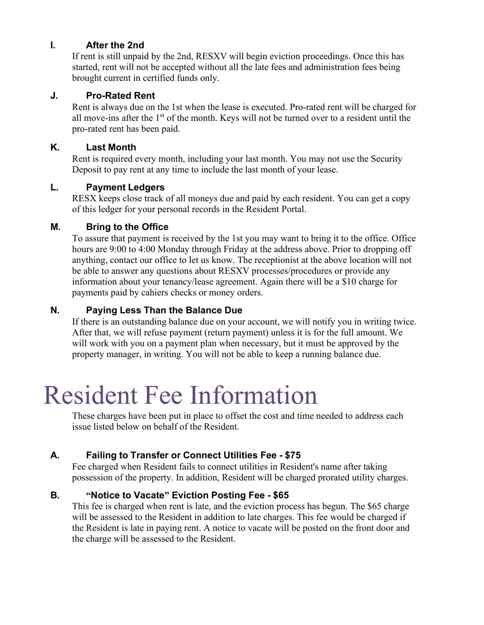### **I. After the 2nd**

If rent is still unpaid by the 2nd, RESXV will begin eviction proceedings. Once this has started, rent will not be accepted without all the late fees and administration fees being brought current in certified funds only.

#### **J. Pro-Rated Rent**

Rent is always due on the 1st when the lease is executed. Pro-rated rent will be charged for all move-ins after the  $1<sup>st</sup>$  of the month. Keys will not be turned over to a resident until the pro-rated rent has been paid.

#### **K. Last Month**

Rent is required every month, including your last month. You may not use the Security Deposit to pay rent at any time to include the last month of your lease.

# **L. Payment Ledgers**

RESX keeps close track of all moneys due and paid by each resident. You can get a copy of this ledger for your personal records in the Resident Portal.

# **M. Bring to the Office**

To assure that payment is received by the 1st you may want to bring it to the office. Office hours are 9:00 to 4:00 Monday through Friday at the address above. Prior to dropping off anything, contact our office to let us know. The receptionist at the above location will not be able to answer any questions about RESXV processes/procedures or provide any information about your tenancy/lease agreement. Again there will be a \$10 charge for payments paid by cahiers checks or money orders.

### **N. Paying Less Than the Balance Due**

If there is an outstanding balance due on your account, we will notify you in writing twice. After that, we will refuse payment (return payment) unless it is for the full amount. We will work with you on a payment plan when necessary, but it must be approved by the property manager, in writing. You will not be able to keep a running balance due.

# Resident Fee Information

These charges have been put in place to offset the cost and time needed to address each issue listed below on behalf of the Resident.

# **A. Failing to Transfer or Connect Utilities Fee - \$75**

Fee charged when Resident fails to connect utilities in Resident's name after taking possession of the property. In addition, Resident will be charged prorated utility charges.

# **B. "Notice to Vacate" Eviction Posting Fee - \$65**

This fee is charged when rent is late, and the eviction process has begun. The \$65 charge will be assessed to the Resident in addition to late charges. This fee would be charged if the Resident is late in paying rent. A notice to vacate will be posted on the front door and the charge will be assessed to the Resident.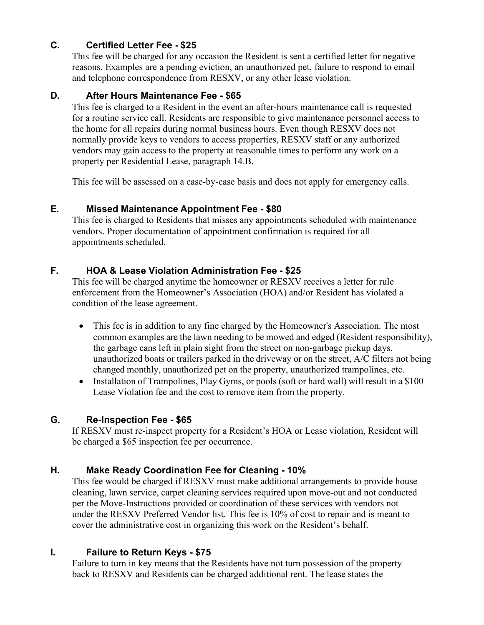# **C. Certified Letter Fee - \$25**

This fee will be charged for any occasion the Resident is sent a certified letter for negative reasons. Examples are a pending eviction, an unauthorized pet, failure to respond to email and telephone correspondence from RESXV, or any other lease violation.

### **D. After Hours Maintenance Fee - \$65**

This fee is charged to a Resident in the event an after-hours maintenance call is requested for a routine service call. Residents are responsible to give maintenance personnel access to the home for all repairs during normal business hours. Even though RESXV does not normally provide keys to vendors to access properties, RESXV staff or any authorized vendors may gain access to the property at reasonable times to perform any work on a property per Residential Lease, paragraph 14.B.

This fee will be assessed on a case-by-case basis and does not apply for emergency calls.

### **E. Missed Maintenance Appointment Fee - \$80**

This fee is charged to Residents that misses any appointments scheduled with maintenance vendors. Proper documentation of appointment confirmation is required for all appointments scheduled.

# **F. HOA & Lease Violation Administration Fee - \$25**

This fee will be charged anytime the homeowner or RESXV receives a letter for rule enforcement from the Homeowner's Association (HOA) and/or Resident has violated a condition of the lease agreement.

- This fee is in addition to any fine charged by the Homeowner's Association. The most common examples are the lawn needing to be mowed and edged (Resident responsibility), the garbage cans left in plain sight from the street on non-garbage pickup days, unauthorized boats or trailers parked in the driveway or on the street, A/C filters not being changed monthly, unauthorized pet on the property, unauthorized trampolines, etc.
- Installation of Trampolines, Play Gyms, or pools (soft or hard wall) will result in a \$100 Lease Violation fee and the cost to remove item from the property.

# **G. Re-Inspection Fee - \$65**

If RESXV must re-inspect property for a Resident's HOA or Lease violation, Resident will be charged a \$65 inspection fee per occurrence.

# **H. Make Ready Coordination Fee for Cleaning - 10%**

This fee would be charged if RESXV must make additional arrangements to provide house cleaning, lawn service, carpet cleaning services required upon move-out and not conducted per the Move-Instructions provided or coordination of these services with vendors not under the RESXV Preferred Vendor list. This fee is 10% of cost to repair and is meant to cover the administrative cost in organizing this work on the Resident's behalf.

# **I. Failure to Return Keys - \$75**

Failure to turn in key means that the Residents have not turn possession of the property back to RESXV and Residents can be charged additional rent. The lease states the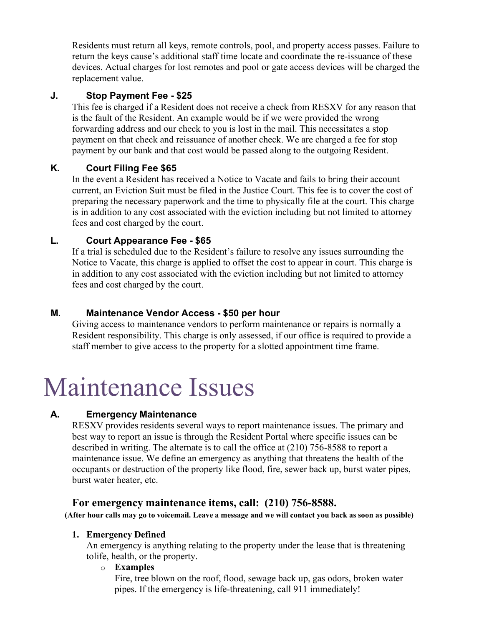Residents must return all keys, remote controls, pool, and property access passes. Failure to return the keys cause's additional staff time locate and coordinate the re-issuance of these devices. Actual charges for lost remotes and pool or gate access devices will be charged the replacement value.

# **J. Stop Payment Fee - \$25**

This fee is charged if a Resident does not receive a check from RESXV for any reason that is the fault of the Resident. An example would be if we were provided the wrong forwarding address and our check to you is lost in the mail. This necessitates a stop payment on that check and reissuance of another check. We are charged a fee for stop payment by our bank and that cost would be passed along to the outgoing Resident.

# **K. Court Filing Fee \$65**

In the event a Resident has received a Notice to Vacate and fails to bring their account current, an Eviction Suit must be filed in the Justice Court. This fee is to cover the cost of preparing the necessary paperwork and the time to physically file at the court. This charge is in addition to any cost associated with the eviction including but not limited to attorney fees and cost charged by the court.

# **L. Court Appearance Fee - \$65**

If a trial is scheduled due to the Resident's failure to resolve any issues surrounding the Notice to Vacate, this charge is applied to offset the cost to appear in court. This charge is in addition to any cost associated with the eviction including but not limited to attorney fees and cost charged by the court.

# **M. Maintenance Vendor Access - \$50 per hour**

Giving access to maintenance vendors to perform maintenance or repairs is normally a Resident responsibility. This charge is only assessed, if our office is required to provide a staff member to give access to the property for a slotted appointment time frame.

# Maintenance Issues

# **A. Emergency Maintenance**

RESXV provides residents several ways to report maintenance issues. The primary and best way to report an issue is through the Resident Portal where specific issues can be described in writing. The alternate is to call the office at (210) 756-8588 to report a maintenance issue. We define an emergency as anything that threatens the health of the occupants or destruction of the property like flood, fire, sewer back up, burst water pipes, burst water heater, etc.

# **For emergency maintenance items, call: (210) 756-8588.**

**(After hour calls may go to voicemail. Leave a message and we will contact you back as soon as possible)**

#### **1. Emergency Defined**

An emergency is anything relating to the property under the lease that is threatening tolife, health, or the property.

#### o **Examples**

Fire, tree blown on the roof, flood, sewage back up, gas odors, broken water pipes. If the emergency is life-threatening, call 911 immediately!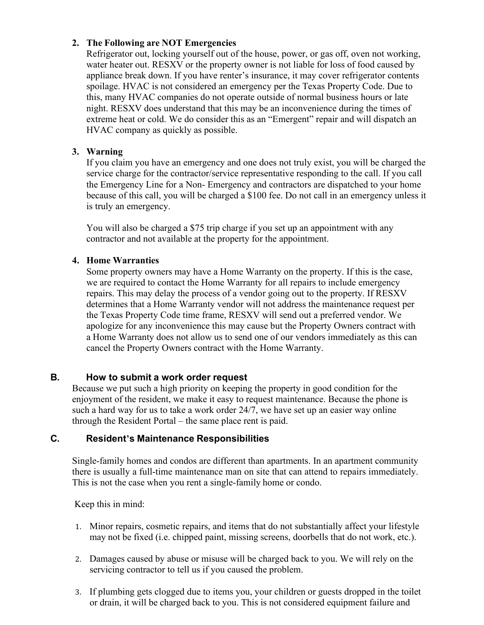#### **2. The Following are NOT Emergencies**

Refrigerator out, locking yourself out of the house, power, or gas off, oven not working, water heater out. RESXV or the property owner is not liable for loss of food caused by appliance break down. If you have renter's insurance, it may cover refrigerator contents spoilage. HVAC is not considered an emergency per the Texas Property Code. Due to this, many HVAC companies do not operate outside of normal business hours or late night. RESXV does understand that this may be an inconvenience during the times of extreme heat or cold. We do consider this as an "Emergent" repair and will dispatch an HVAC company as quickly as possible.

### **3. Warning**

If you claim you have an emergency and one does not truly exist, you will be charged the service charge for the contractor/service representative responding to the call. If you call the Emergency Line for a Non- Emergency and contractors are dispatched to your home because of this call, you will be charged a \$100 fee. Do not call in an emergency unless it is truly an emergency.

You will also be charged a \$75 trip charge if you set up an appointment with any contractor and not available at the property for the appointment.

### **4. Home Warranties**

Some property owners may have a Home Warranty on the property. If this is the case, we are required to contact the Home Warranty for all repairs to include emergency repairs. This may delay the process of a vendor going out to the property. If RESXV determines that a Home Warranty vendor will not address the maintenance request per the Texas Property Code time frame, RESXV will send out a preferred vendor. We apologize for any inconvenience this may cause but the Property Owners contract with a Home Warranty does not allow us to send one of our vendors immediately as this can cancel the Property Owners contract with the Home Warranty.

#### **B. How to submit a work order request**

Because we put such a high priority on keeping the property in good condition for the enjoyment of the resident, we make it easy to request maintenance. Because the phone is such a hard way for us to take a work order 24/7, we have set up an easier way online through the Resident Portal – the same place rent is paid.

# **C. Resident's Maintenance Responsibilities**

Single-family homes and condos are different than apartments. In an apartment community there is usually a full-time maintenance man on site that can attend to repairs immediately. This is not the case when you rent a single-family home or condo.

Keep this in mind:

- 1. Minor repairs, cosmetic repairs, and items that do not substantially affect your lifestyle may not be fixed (i.e. chipped paint, missing screens, doorbells that do not work, etc.).
- 2. Damages caused by abuse or misuse will be charged back to you. We will rely on the servicing contractor to tell us if you caused the problem.
- 3. If plumbing gets clogged due to items you, your children or guests dropped in the toilet or drain, it will be charged back to you. This is not considered equipment failure and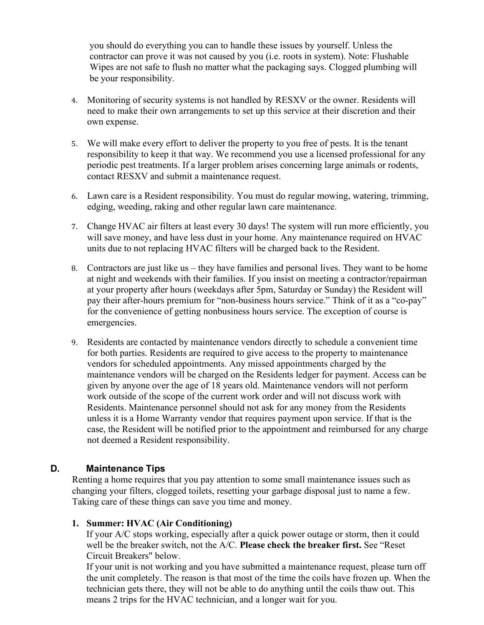you should do everything you can to handle these issues by yourself. Unless the contractor can prove it was not caused by you (i.e. roots in system). Note: Flushable Wipes are not safe to flush no matter what the packaging says. Clogged plumbing will be your responsibility.

- 4. Monitoring of security systems is not handled by RESXV or the owner. Residents will need to make their own arrangements to set up this service at their discretion and their own expense.
- 5. We will make every effort to deliver the property to you free of pests. It is the tenant responsibility to keep it that way. We recommend you use a licensed professional for any periodic pest treatments. If a larger problem arises concerning large animals or rodents, contact RESXV and submit a maintenance request.
- 6. Lawn care is a Resident responsibility. You must do regular mowing, watering, trimming, edging, weeding, raking and other regular lawn care maintenance.
- 7. Change HVAC air filters at least every 30 days! The system will run more efficiently, you will save money, and have less dust in your home. Any maintenance required on HVAC units due to not replacing HVAC filters will be charged back to the Resident.
- 8. Contractors are just like us they have families and personal lives. They want to be home at night and weekends with their families. If you insist on meeting a contractor/repairman at your property after hours (weekdays after 5pm, Saturday or Sunday) the Resident will pay their after-hours premium for "non-business hours service." Think of it as a "co-pay" for the convenience of getting nonbusiness hours service. The exception of course is emergencies.
- 9. Residents are contacted by maintenance vendors directly to schedule a convenient time for both parties. Residents are required to give access to the property to maintenance vendors for scheduled appointments. Any missed appointments charged by the maintenance vendors will be charged on the Residents ledger for payment. Access can be given by anyone over the age of 18 years old. Maintenance vendors will not perform work outside of the scope of the current work order and will not discuss work with Residents. Maintenance personnel should not ask for any money from the Residents unless it is a Home Warranty vendor that requires payment upon service. If that is the case, the Resident will be notified prior to the appointment and reimbursed for any charge not deemed a Resident responsibility.

#### **D. Maintenance Tips**

Renting a home requires that you pay attention to some small maintenance issues such as changing your filters, clogged toilets, resetting your garbage disposal just to name a few. Taking care of these things can save you time and money.

#### **1. Summer: HVAC (Air Conditioning)**

If your A/C stops working, especially after a quick power outage or storm, then it could well be the breaker switch, not the A/C. **Please check the breaker first.** See "Reset Circuit Breakers" below.

If your unit is not working and you have submitted a maintenance request, please turn off the unit completely. The reason is that most of the time the coils have frozen up. When the technician gets there, they will not be able to do anything until the coils thaw out. This means 2 trips for the HVAC technician, and a longer wait for you.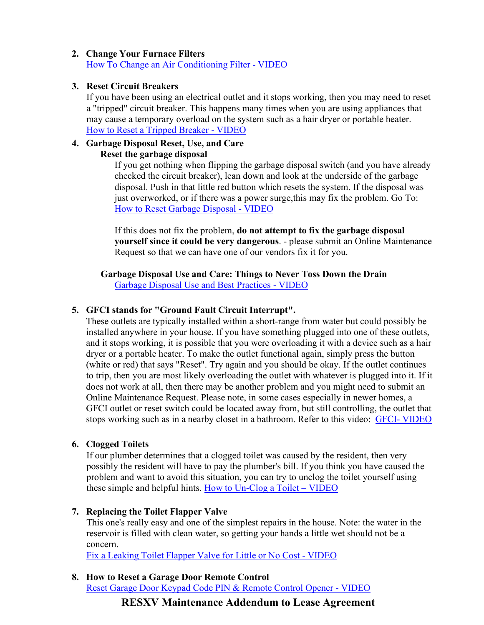#### **2. Change Your Furnace Filters** How To Change an Air [Conditioning](https://www.youtube.com/watch?v=UIDcafAMo2A) Filter - VIDEO

#### **3. Reset Circuit Breakers**

If you have been using an electrical outlet and it stops working, then you may need to reset a "tripped" circuit breaker. This happens many times when you are using appliances that may cause a temporary overload on the system such as a hair dryer or portable heater. How to Reset a [Tripped](https://www.youtube.com/watch?v=wPXHSYNhdPE) Breaker - VIDEO

# **4. Garbage Disposal Reset, Use, and Care**

#### **Reset the garbage disposal**

If you get nothing when flipping the garbage disposal switch (and you have already checked the circuit breaker), lean down and look at the underside of the garbage disposal. Push in that little red button which resets the system. If the disposal was just overworked, or if there was a power surge, this may fix the problem. Go To: How [to Reset Garbage](https://www.youtube.com/watch?v=kzTPox1kARo) Disposal - VIDEO

If this does not fix the problem, **do not attempt to fix the garbage disposal yourself since it could be very dangerous**. - please submit an Online Maintenance Request so that we can have one of our vendors fix it for you.

#### **Garbage Disposal Use and Care: Things to Never Toss Down the Drain** Garbage Disposal Use and Best [Practices -](https://www.youtube.com/watch?v=jQjEhQSRGKs) VIDEO

#### **5. GFCI stands for "Ground Fault Circuit Interrupt".**

These outlets are typically installed within a short-range from water but could possibly be installed anywhere in your house. If you have something plugged into one of these outlets, and it stops working, it is possible that you were overloading it with a device such as a hair dryer or a portable heater. To make the outlet functional again, simply press the button (white or red) that says "Reset". Try again and you should be okay. If the outlet continues to trip, then you are most likely overloading the outlet with whatever is plugged into it. If it does not work at all, then there may be another problem and you might need to submit an Online Maintenance Request. Please note, in some cases especially in newer homes, a GFCI outlet or reset switch could be located away from, but still controlling, the outlet that stops working such as in a nearby closet in a bathroom. Refer to this video: GFCI- [VIDEO](https://www.youtube.com/watch?v=K555qzFPSCE)

#### **6. Clogged Toilets**

If our plumber determines that a clogged toilet was caused by the resident, then very possibly the resident will have to pay the plumber's bill. If you think you have caused the problem and want to avoid this situation, you can try to unclog the toilet yourself using these simple and helpful hints. How [to Un-Clog a](https://www.youtube.com/watch?v=eo_zcS1mfHc) Toilet – VIDEO

#### **7. Replacing the Toilet Flapper Valve**

This one's really easy and one of the simplest repairs in the house. Note: the water in the reservoir is filled with clean water, so getting your hands a little wet should not be a concern.

Fix a [Leaking](http://www.youtube.com/watch?v=2FOWj-J0wLU&feature=related) Toilet Flapper Valve for Little or No Cost - VIDEO

# **8. How to Reset a Garage Door Remote Control**

Reset Garage Door Keypad Code PIN & Remote Control [Opener -](http://www.youtube.com/watch?v=aylz3tJZ_r8) VIDEO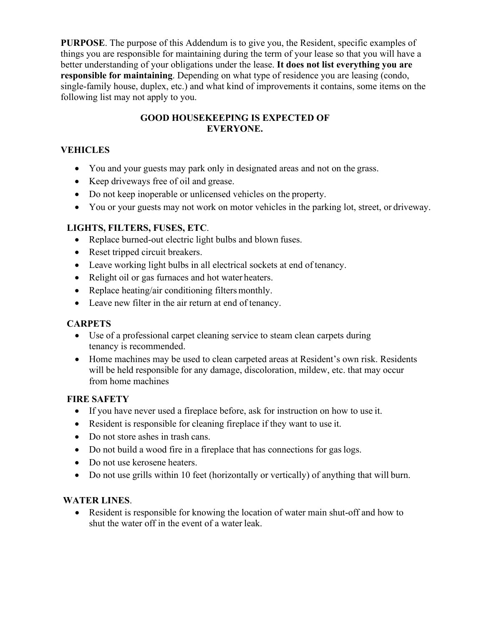**PURPOSE**. The purpose of this Addendum is to give you, the Resident, specific examples of things you are responsible for maintaining during the term of your lease so that you will have a better understanding of your obligations under the lease. **It does not list everything you are responsible for maintaining**. Depending on what type of residence you are leasing (condo, single-family house, duplex, etc.) and what kind of improvements it contains, some items on the following list may not apply to you.

### **GOOD HOUSEKEEPING IS EXPECTED OF EVERYONE.**

# **VEHICLES**

- You and your guests may park only in designated areas and not on the grass.
- Keep driveways free of oil and grease.
- Do not keep inoperable or unlicensed vehicles on the property.
- You or your guests may not work on motor vehicles in the parking lot, street, or driveway.

### **LIGHTS, FILTERS, FUSES, ETC**.

- Replace burned-out electric light bulbs and blown fuses.
- Reset tripped circuit breakers.
- Leave working light bulbs in all electrical sockets at end of tenancy.
- Relight oil or gas furnaces and hot water heaters.
- Replace heating/air conditioning filters monthly.
- Leave new filter in the air return at end of tenancy.

# **CARPETS**

- Use of a professional carpet cleaning service to steam clean carpets during tenancy is recommended.
- Home machines may be used to clean carpeted areas at Resident's own risk. Residents will be held responsible for any damage, discoloration, mildew, etc. that may occur from home machines

#### **FIRE SAFETY**

- If you have never used a fireplace before, ask for instruction on how to use it.
- Resident is responsible for cleaning fireplace if they want to use it.
- Do not store ashes in trash cans.
- Do not build a wood fire in a fireplace that has connections for gas logs.
- Do not use kerosene heaters.
- Do not use grills within 10 feet (horizontally or vertically) of anything that will burn.

#### **WATER LINES**.

• Resident is responsible for knowing the location of water main shut-off and how to shut the water off in the event of a water leak.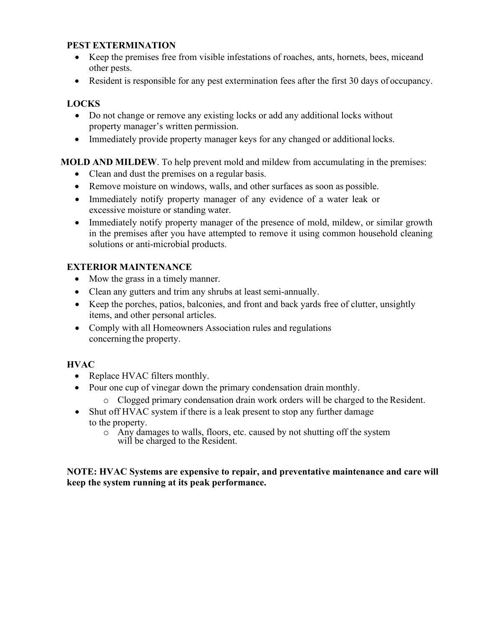#### **PEST EXTERMINATION**

- Keep the premises free from visible infestations of roaches, ants, hornets, bees, miceand other pests.
- Resident is responsible for any pest extermination fees after the first 30 days of occupancy.

### **LOCKS**

- Do not change or remove any existing locks or add any additional locks without property manager's written permission.
- Immediately provide property manager keys for any changed or additional locks.

### **MOLD AND MILDEW**. To help prevent mold and mildew from accumulating in the premises:

- Clean and dust the premises on a regular basis.
- Remove moisture on windows, walls, and other surfaces as soon as possible.
- Immediately notify property manager of any evidence of a water leak or excessive moisture or standing water.
- Immediately notify property manager of the presence of mold, mildew, or similar growth in the premises after you have attempted to remove it using common household cleaning solutions or anti-microbial products.

# **EXTERIOR MAINTENANCE**

- Mow the grass in a timely manner.
- Clean any gutters and trim any shrubs at least semi-annually.
- Keep the porches, patios, balconies, and front and back yards free of clutter, unsightly items, and other personal articles.
- Comply with all Homeowners Association rules and regulations concerning the property.

#### **HVAC**

- Replace HVAC filters monthly.
- Pour one cup of vinegar down the primary condensation drain monthly.
	- o Clogged primary condensation drain work orders will be charged to the Resident.
- Shut off HVAC system if there is a leak present to stop any further damage to the property.
	- o Any damages to walls, floors, etc. caused by not shutting off the system will be charged to the Resident.

#### **NOTE: HVAC Systems are expensive to repair, and preventative maintenance and care will keep the system running at its peak performance.**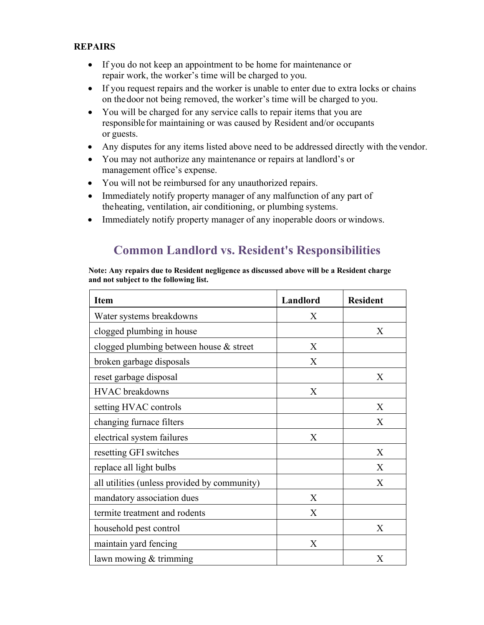#### **REPAIRS**

- If you do not keep an appointment to be home for maintenance or repair work, the worker's time will be charged to you.
- If you request repairs and the worker is unable to enter due to extra locks or chains on thedoor not being removed, the worker's time will be charged to you.
- You will be charged for any service calls to repair items that you are responsiblefor maintaining or was caused by Resident and/or occupants or guests.
- Any disputes for any items listed above need to be addressed directly with the vendor.
- You may not authorize any maintenance or repairs at landlord's or management office's expense.
- You will not be reimbursed for any unauthorized repairs.
- Immediately notify property manager of any malfunction of any part of theheating, ventilation, air conditioning, or plumbing systems.
- Immediately notify property manager of any inoperable doors or windows.

# **Common Landlord vs. Resident's Responsibilities**

#### **Note: Any repairs due to Resident negligence as discussed above will be a Resident charge and not subject to the following list.**

| <b>Item</b>                                  | Landlord | <b>Resident</b> |
|----------------------------------------------|----------|-----------------|
| Water systems breakdowns                     | X        |                 |
| clogged plumbing in house                    |          | X               |
| clogged plumbing between house & street      | X        |                 |
| broken garbage disposals                     | X        |                 |
| reset garbage disposal                       |          | X               |
| <b>HVAC</b> breakdowns                       | X        |                 |
| setting HVAC controls                        |          | X               |
| changing furnace filters                     |          | X               |
| electrical system failures                   | X        |                 |
| resetting GFI switches                       |          | X               |
| replace all light bulbs                      |          | X               |
| all utilities (unless provided by community) |          | X               |
| mandatory association dues                   | X        |                 |
| termite treatment and rodents                | X        |                 |
| household pest control                       |          | X               |
| maintain yard fencing                        | X        |                 |
| lawn mowing $&$ trimming                     |          | X               |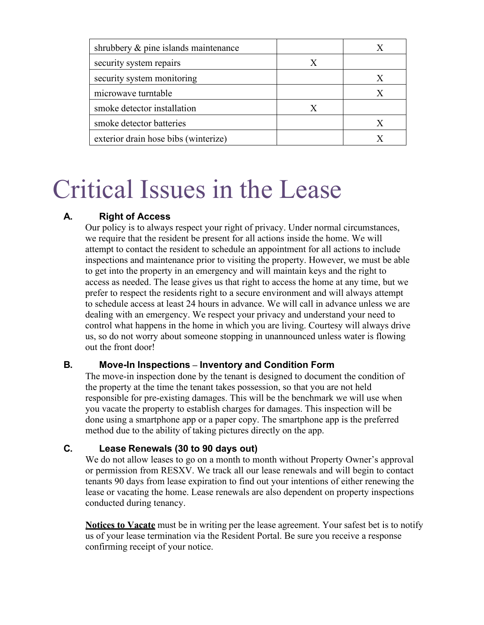| shrubbery & pine islands maintenance |                  |   |
|--------------------------------------|------------------|---|
| security system repairs              | X                |   |
| security system monitoring           |                  | X |
| microwave turntable                  |                  |   |
| smoke detector installation          | $\boldsymbol{X}$ |   |
| smoke detector batteries             |                  | X |
| exterior drain hose bibs (winterize) |                  |   |

# Critical Issues in the Lease

# **A. Right of Access**

Our policy is to always respect your right of privacy. Under normal circumstances, we require that the resident be present for all actions inside the home. We will attempt to contact the resident to schedule an appointment for all actions to include inspections and maintenance prior to visiting the property. However, we must be able to get into the property in an emergency and will maintain keys and the right to access as needed. The lease gives us that right to access the home at any time, but we prefer to respect the residents right to a secure environment and will always attempt to schedule access at least 24 hours in advance. We will call in advance unless we are dealing with an emergency. We respect your privacy and understand your need to control what happens in the home in which you are living. Courtesy will always drive us, so do not worry about someone stopping in unannounced unless water is flowing out the front door!

#### **B. Move-In Inspections – Inventory and Condition Form**

The move-in inspection done by the tenant is designed to document the condition of the property at the time the tenant takes possession, so that you are not held responsible for pre-existing damages. This will be the benchmark we will use when you vacate the property to establish charges for damages. This inspection will be done using a smartphone app or a paper copy. The smartphone app is the preferred method due to the ability of taking pictures directly on the app.

# **C. Lease Renewals (30 to 90 days out)**

We do not allow leases to go on a month to month without Property Owner's approval or permission from RESXV. We track all our lease renewals and will begin to contact tenants 90 days from lease expiration to find out your intentions of either renewing the lease or vacating the home. Lease renewals are also dependent on property inspections conducted during tenancy.

**Notices to Vacate** must be in writing per the lease agreement. Your safest bet is to notify us of your lease termination via the Resident Portal. Be sure you receive a response confirming receipt of your notice.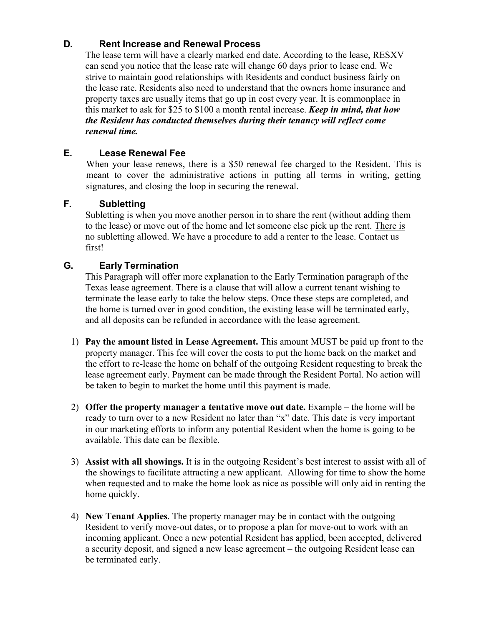# **D. Rent Increase and Renewal Process**

The lease term will have a clearly marked end date. According to the lease, RESXV can send you notice that the lease rate will change 60 days prior to lease end. We strive to maintain good relationships with Residents and conduct business fairly on the lease rate. Residents also need to understand that the owners home insurance and property taxes are usually items that go up in cost every year. It is commonplace in this market to ask for \$25 to \$100 a month rental increase. *Keep in mind, that how the Resident has conducted themselves during their tenancy will reflect come renewal time.*

# **E. Lease Renewal Fee**

When your lease renews, there is a \$50 renewal fee charged to the Resident. This is meant to cover the administrative actions in putting all terms in writing, getting signatures, and closing the loop in securing the renewal.

#### **F. Subletting**

Subletting is when you move another person in to share the rent (without adding them to the lease) or move out of the home and let someone else pick up the rent. There is no subletting allowed. We have a procedure to add a renter to the lease. Contact us first!

### **G. Early Termination**

This Paragraph will offer more explanation to the Early Termination paragraph of the Texas lease agreement. There is a clause that will allow a current tenant wishing to terminate the lease early to take the below steps. Once these steps are completed, and the home is turned over in good condition, the existing lease will be terminated early, and all deposits can be refunded in accordance with the lease agreement.

- 1) **Pay the amount listed in Lease Agreement.** This amount MUST be paid up front to the property manager. This fee will cover the costs to put the home back on the market and the effort to re-lease the home on behalf of the outgoing Resident requesting to break the lease agreement early. Payment can be made through the Resident Portal. No action will be taken to begin to market the home until this payment is made.
- 2) **Offer the property manager a tentative move out date.** Example the home will be ready to turn over to a new Resident no later than "x" date. This date is very important in our marketing efforts to inform any potential Resident when the home is going to be available. This date can be flexible.
- 3) **Assist with all showings.** It is in the outgoing Resident's best interest to assist with all of the showings to facilitate attracting a new applicant. Allowing for time to show the home when requested and to make the home look as nice as possible will only aid in renting the home quickly.
- 4) **New Tenant Applies**. The property manager may be in contact with the outgoing Resident to verify move-out dates, or to propose a plan for move-out to work with an incoming applicant. Once a new potential Resident has applied, been accepted, delivered a security deposit, and signed a new lease agreement – the outgoing Resident lease can be terminated early.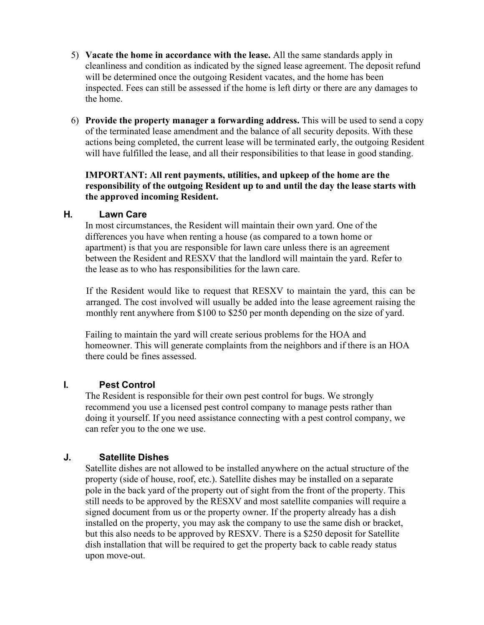- 5) **Vacate the home in accordance with the lease.** All the same standards apply in cleanliness and condition as indicated by the signed lease agreement. The deposit refund will be determined once the outgoing Resident vacates, and the home has been inspected. Fees can still be assessed if the home is left dirty or there are any damages to the home.
- 6) **Provide the property manager a forwarding address.** This will be used to send a copy of the terminated lease amendment and the balance of all security deposits. With these actions being completed, the current lease will be terminated early, the outgoing Resident will have fulfilled the lease, and all their responsibilities to that lease in good standing.

#### **IMPORTANT: All rent payments, utilities, and upkeep of the home are the responsibility of the outgoing Resident up to and until the day the lease starts with the approved incoming Resident.**

#### **H. Lawn Care**

In most circumstances, the Resident will maintain their own yard. One of the differences you have when renting a house (as compared to a town home or apartment) is that you are responsible for lawn care unless there is an agreement between the Resident and RESXV that the landlord will maintain the yard. Refer to the lease as to who has responsibilities for the lawn care.

If the Resident would like to request that RESXV to maintain the yard, this can be arranged. The cost involved will usually be added into the lease agreement raising the monthly rent anywhere from \$100 to \$250 per month depending on the size of yard.

Failing to maintain the yard will create serious problems for the HOA and homeowner. This will generate complaints from the neighbors and if there is an HOA there could be fines assessed.

#### **I. Pest Control**

The Resident is responsible for their own pest control for bugs. We strongly recommend you use a licensed pest control company to manage pests rather than doing it yourself. If you need assistance connecting with a pest control company, we can refer you to the one we use.

# **J. Satellite Dishes**

Satellite dishes are not allowed to be installed anywhere on the actual structure of the property (side of house, roof, etc.). Satellite dishes may be installed on a separate pole in the back yard of the property out of sight from the front of the property. This still needs to be approved by the RESXV and most satellite companies will require a signed document from us or the property owner. If the property already has a dish installed on the property, you may ask the company to use the same dish or bracket, but this also needs to be approved by RESXV. There is a \$250 deposit for Satellite dish installation that will be required to get the property back to cable ready status upon move-out.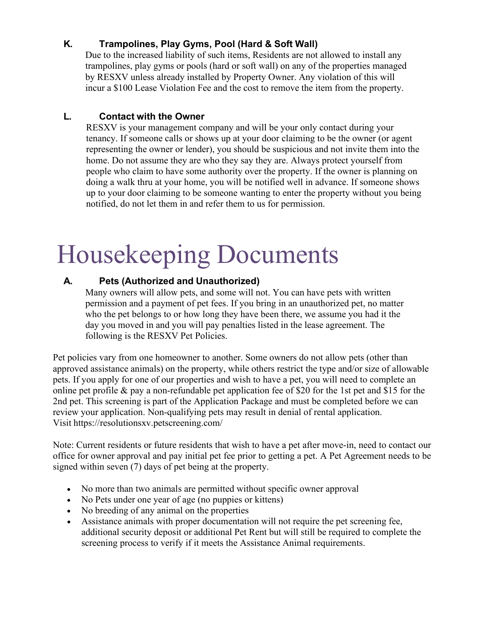# **K. Trampolines, Play Gyms, Pool (Hard & Soft Wall)**

Due to the increased liability of such items, Residents are not allowed to install any trampolines, play gyms or pools (hard or soft wall) on any of the properties managed by RESXV unless already installed by Property Owner. Any violation of this will incur a \$100 Lease Violation Fee and the cost to remove the item from the property.

# **L. Contact with the Owner**

RESXV is your management company and will be your only contact during your tenancy. If someone calls or shows up at your door claiming to be the owner (or agent representing the owner or lender), you should be suspicious and not invite them into the home. Do not assume they are who they say they are. Always protect yourself from people who claim to have some authority over the property. If the owner is planning on doing a walk thru at your home, you will be notified well in advance. If someone shows up to your door claiming to be someone wanting to enter the property without you being notified, do not let them in and refer them to us for permission.

# Housekeeping Documents

# **A. Pets (Authorized and Unauthorized)**

Many owners will allow pets, and some will not. You can have pets with written permission and a payment of pet fees. If you bring in an unauthorized pet, no matter who the pet belongs to or how long they have been there, we assume you had it the day you moved in and you will pay penalties listed in the lease agreement. The following is the RESXV Pet Policies.

Pet policies vary from one homeowner to another. Some owners do not allow pets (other than approved assistance animals) on the property, while others restrict the type and/or size of allowable pets. If you apply for one of our properties and wish to have a pet, you will need to complete an online pet profile & pay a non-refundable pet application fee of \$20 for the 1st pet and \$15 for the 2nd pet. This screening is part of the Application Package and must be completed before we can review your application. Non-qualifying pets may result in denial of rental application. Visit <https://resolutionsxv.petscreening.com/>

Note: Current residents or future residents that wish to have a pet after move-in, need to contact our office for owner approval and pay initial pet fee prior to getting a pet. A Pet Agreement needs to be signed within seven (7) days of pet being at the property.

- No more than two animals are permitted without specific owner approval
- No Pets under one year of age (no puppies or kittens)
- No breeding of any animal on the properties
- Assistance animals with proper documentation will not require the pet screening fee, additional security deposit or additional Pet Rent but will still be required to complete the screening process to verify if it meets the Assistance Animal requirements.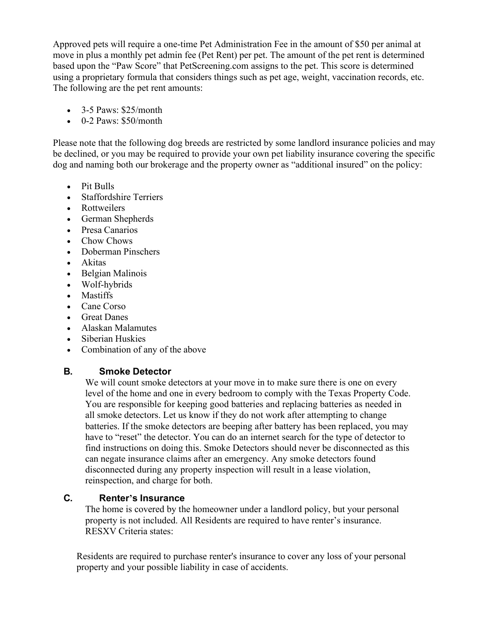Approved pets will require a one-time Pet Administration Fee in the amount of \$50 per animal at move in plus a monthly pet admin fee (Pet Rent) per pet. The amount of the pet rent is determined based upon the "Paw Score" that PetScreening.com assigns to the pet. This score is determined using a proprietary formula that considers things such as pet age, weight, vaccination records, etc. The following are the pet rent amounts:

- $\bullet$  3-5 Paws: \$25/month
- $\bullet$  0-2 Paws: \$50/month

Please note that the following dog breeds are restricted by some landlord insurance policies and may be declined, or you may be required to provide your own pet liability insurance covering the specific dog and naming both our brokerage and the property owner as "additional insured" on the policy:

- Pit Bulls
- Staffordshire Terriers
- Rottweilers
- German Shepherds
- Presa Canarios
- Chow Chows
- Doberman Pinschers
- Akitas
- Belgian Malinois
- Wolf-hybrids
- Mastiffs
- Cane Corso
- Great Danes
- Alaskan Malamutes
- Siberian Huskies
- Combination of any of the above

# **B. Smoke Detector**

We will count smoke detectors at your move in to make sure there is one on every level of the home and one in every bedroom to comply with the Texas Property Code. You are responsible for keeping good batteries and replacing batteries as needed in all smoke detectors. Let us know if they do not work after attempting to change batteries. If the smoke detectors are beeping after battery has been replaced, you may have to "reset" the detector. You can do an internet search for the type of detector to find instructions on doing this. Smoke Detectors should never be disconnected as this can negate insurance claims after an emergency. Any smoke detectors found disconnected during any property inspection will result in a lease violation, reinspection, and charge for both.

# **C. Renter's Insurance**

The home is covered by the homeowner under a landlord policy, but your personal property is not included. All Residents are required to have renter's insurance. RESXV Criteria states:

Residents are required to purchase renter's insurance to cover any loss of your personal property and your possible liability in case of accidents.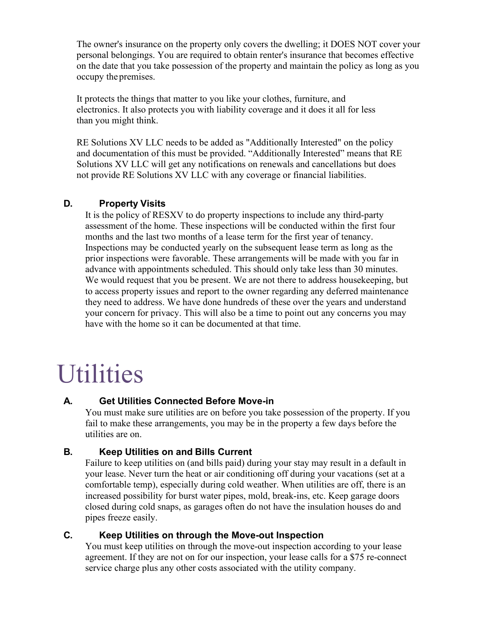The owner's insurance on the property only covers the dwelling; it DOES NOT cover your personal belongings. You are required to obtain renter's insurance that becomes effective on the date that you take possession of the property and maintain the policy as long as you occupy the premises.

It protects the things that matter to you like your clothes, furniture, and electronics. It also protects you with liability coverage and it does it all for less than you might think.

RE Solutions XV LLC needs to be added as "Additionally Interested" on the policy and documentation of this must be provided. "Additionally Interested" means that RE Solutions XV LLC will get any notifications on renewals and cancellations but does not provide RE Solutions XV LLC with any coverage or financial liabilities.

#### **D. Property Visits**

It is the policy of RESXV to do property inspections to include any third-party assessment of the home. These inspections will be conducted within the first four months and the last two months of a lease term for the first year of tenancy. Inspections may be conducted yearly on the subsequent lease term as long as the prior inspections were favorable. These arrangements will be made with you far in advance with appointments scheduled. This should only take less than 30 minutes. We would request that you be present. We are not there to address housekeeping, but to access property issues and report to the owner regarding any deferred maintenance they need to address. We have done hundreds of these over the years and understand your concern for privacy. This will also be a time to point out any concerns you may have with the home so it can be documented at that time.

# **Utilities**

#### **A. Get Utilities Connected Before Move-in**

You must make sure utilities are on before you take possession of the property. If you fail to make these arrangements, you may be in the property a few days before the utilities are on.

# **B. Keep Utilities on and Bills Current**

Failure to keep utilities on (and bills paid) during your stay may result in a default in your lease. Never turn the heat or air conditioning off during your vacations (set at a comfortable temp), especially during cold weather. When utilities are off, there is an increased possibility for burst water pipes, mold, break-ins, etc. Keep garage doors closed during cold snaps, as garages often do not have the insulation houses do and pipes freeze easily.

#### **C. Keep Utilities on through the Move-out Inspection**

You must keep utilities on through the move-out inspection according to your lease agreement. If they are not on for our inspection, your lease calls for a \$75 re-connect service charge plus any other costs associated with the utility company.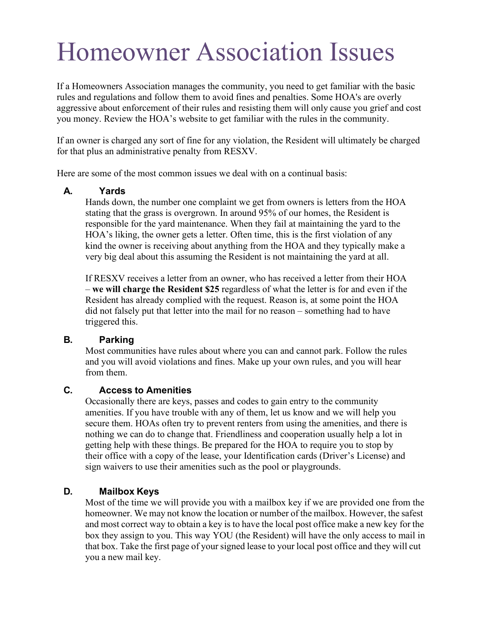# Homeowner Association Issues

If a Homeowners Association manages the community, you need to get familiar with the basic rules and regulations and follow them to avoid fines and penalties. Some HOA's are overly aggressive about enforcement of their rules and resisting them will only cause you grief and cost you money. Review the HOA's website to get familiar with the rules in the community.

If an owner is charged any sort of fine for any violation, the Resident will ultimately be charged for that plus an administrative penalty from RESXV.

Here are some of the most common issues we deal with on a continual basis:

#### **A. Yards**

Hands down, the number one complaint we get from owners is letters from the HOA stating that the grass is overgrown. In around 95% of our homes, the Resident is responsible for the yard maintenance. When they fail at maintaining the yard to the HOA's liking, the owner gets a letter. Often time, this is the first violation of any kind the owner is receiving about anything from the HOA and they typically make a very big deal about this assuming the Resident is not maintaining the yard at all.

If RESXV receives a letter from an owner, who has received a letter from their HOA – **we will charge the Resident \$25** regardless of what the letter is for and even if the Resident has already complied with the request. Reason is, at some point the HOA did not falsely put that letter into the mail for no reason – something had to have triggered this.

#### **B. Parking**

Most communities have rules about where you can and cannot park. Follow the rules and you will avoid violations and fines. Make up your own rules, and you will hear from them.

#### **C. Access to Amenities**

Occasionally there are keys, passes and codes to gain entry to the community amenities. If you have trouble with any of them, let us know and we will help you secure them. HOAs often try to prevent renters from using the amenities, and there is nothing we can do to change that. Friendliness and cooperation usually help a lot in getting help with these things. Be prepared for the HOA to require you to stop by their office with a copy of the lease, your Identification cards (Driver's License) and sign waivers to use their amenities such as the pool or playgrounds.

#### **D. Mailbox Keys**

Most of the time we will provide you with a mailbox key if we are provided one from the homeowner. We may not know the location or number of the mailbox. However, the safest and most correct way to obtain a key is to have the local post office make a new key for the box they assign to you. This way YOU (the Resident) will have the only access to mail in that box. Take the first page of your signed lease to your local post office and they will cut you a new mail key.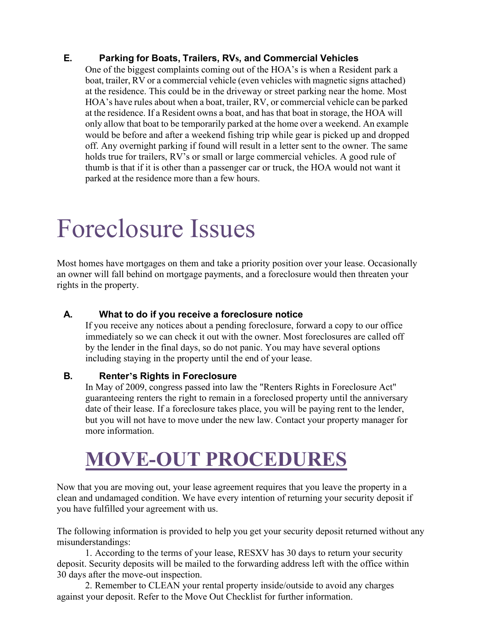# **E. Parking for Boats, Trailers, RVs, and Commercial Vehicles**

One of the biggest complaints coming out of the HOA's is when a Resident park a boat, trailer, RV or a commercial vehicle (even vehicles with magnetic signs attached) at the residence. This could be in the driveway or street parking near the home. Most HOA's have rules about when a boat, trailer, RV, or commercial vehicle can be parked at the residence. If a Resident owns a boat, and has that boat in storage, the HOA will only allow that boat to be temporarily parked at the home over a weekend. An example would be before and after a weekend fishing trip while gear is picked up and dropped off. Any overnight parking if found will result in a letter sent to the owner. The same holds true for trailers, RV's or small or large commercial vehicles. A good rule of thumb is that if it is other than a passenger car or truck, the HOA would not want it parked at the residence more than a few hours.

# Foreclosure Issues

Most homes have mortgages on them and take a priority position over your lease. Occasionally an owner will fall behind on mortgage payments, and a foreclosure would then threaten your rights in the property.

### **A. What to do if you receive a foreclosure notice**

If you receive any notices about a pending foreclosure, forward a copy to our office immediately so we can check it out with the owner. Most foreclosures are called off by the lender in the final days, so do not panic. You may have several options including staying in the property until the end of your lease.

#### **B. Renter's Rights in Foreclosure**

In May of 2009, congress passed into law the "Renters Rights in Foreclosure Act" guaranteeing renters the right to remain in a foreclosed property until the anniversary date of their lease. If a foreclosure takes place, you will be paying rent to the lender, but you will not have to move under the new law. Contact your property manager for more information.

# **MOVE-OUT PROCEDURES**

Now that you are moving out, your lease agreement requires that you leave the property in a clean and undamaged condition. We have every intention of returning your security deposit if you have fulfilled your agreement with us.

The following information is provided to help you get your security deposit returned without any misunderstandings:

1. According to the terms of your lease, RESXV has 30 days to return your security deposit. Security deposits will be mailed to the forwarding address left with the office within 30 days after the move-out inspection.

2. Remember to CLEAN your rental property inside/outside to avoid any charges against your deposit. Refer to the Move Out Checklist for further information.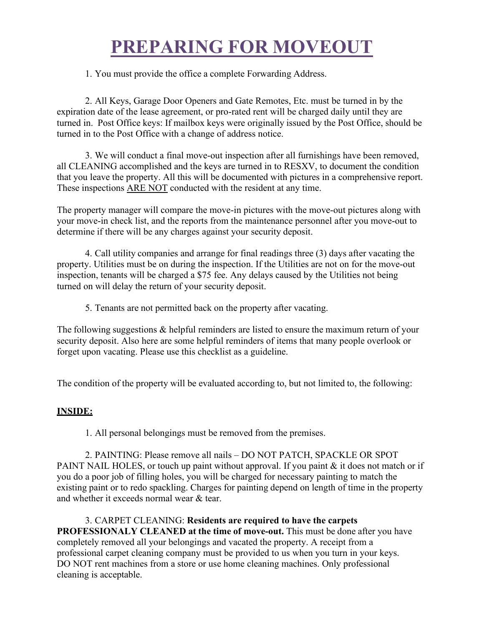# **PREPARING FOR MOVEOUT**

1. You must provide the office a complete Forwarding Address.

2. All Keys, Garage Door Openers and Gate Remotes, Etc. must be turned in by the expiration date of the lease agreement, or pro-rated rent will be charged daily until they are turned in. Post Office keys: If mailbox keys were originally issued by the Post Office, should be turned in to the Post Office with a change of address notice.

3. We will conduct a final move-out inspection after all furnishings have been removed, all CLEANING accomplished and the keys are turned in to RESXV, to document the condition that you leave the property. All this will be documented with pictures in a comprehensive report. These inspections ARE NOT conducted with the resident at any time.

The property manager will compare the move-in pictures with the move-out pictures along with your move-in check list, and the reports from the maintenance personnel after you move-out to determine if there will be any charges against your security deposit.

4. Call utility companies and arrange for final readings three (3) days after vacating the property. Utilities must be on during the inspection. If the Utilities are not on for the move-out inspection, tenants will be charged a \$75 fee. Any delays caused by the Utilities not being turned on will delay the return of your security deposit.

5. Tenants are not permitted back on the property after vacating.

The following suggestions & helpful reminders are listed to ensure the maximum return of your security deposit. Also here are some helpful reminders of items that many people overlook or forget upon vacating. Please use this checklist as a guideline.

The condition of the property will be evaluated according to, but not limited to, the following:

# **INSIDE:**

1. All personal belongings must be removed from the premises.

2. PAINTING: Please remove all nails – DO NOT PATCH, SPACKLE OR SPOT PAINT NAIL HOLES, or touch up paint without approval. If you paint & it does not match or if you do a poor job of filling holes, you will be charged for necessary painting to match the existing paint or to redo spackling. Charges for painting depend on length of time in the property and whether it exceeds normal wear & tear.

3. CARPET CLEANING: **Residents are required to have the carpets PROFESSIONALY CLEANED at the time of move-out.** This must be done after you have completely removed all your belongings and vacated the property. A receipt from a professional carpet cleaning company must be provided to us when you turn in your keys. DO NOT rent machines from a store or use home cleaning machines. Only professional cleaning is acceptable.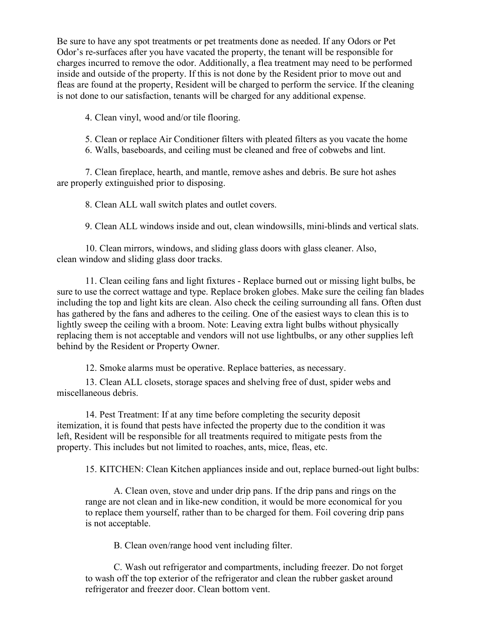Be sure to have any spot treatments or pet treatments done as needed. If any Odors or Pet Odor's re-surfaces after you have vacated the property, the tenant will be responsible for charges incurred to remove the odor. Additionally, a flea treatment may need to be performed inside and outside of the property. If this is not done by the Resident prior to move out and fleas are found at the property, Resident will be charged to perform the service. If the cleaning is not done to our satisfaction, tenants will be charged for any additional expense.

4. Clean vinyl, wood and/or tile flooring.

5. Clean or replace Air Conditioner filters with pleated filters as you vacate the home

6. Walls, baseboards, and ceiling must be cleaned and free of cobwebs and lint.

7. Clean fireplace, hearth, and mantle, remove ashes and debris. Be sure hot ashes are properly extinguished prior to disposing.

8. Clean ALL wall switch plates and outlet covers.

9. Clean ALL windows inside and out, clean windowsills, mini-blinds and vertical slats.

10. Clean mirrors, windows, and sliding glass doors with glass cleaner. Also, clean window and sliding glass door tracks.

11. Clean ceiling fans and light fixtures - Replace burned out or missing light bulbs, be sure to use the correct wattage and type. Replace broken globes. Make sure the ceiling fan blades including the top and light kits are clean. Also check the ceiling surrounding all fans. Often dust has gathered by the fans and adheres to the ceiling. One of the easiest ways to clean this is to lightly sweep the ceiling with a broom. Note: Leaving extra light bulbs without physically replacing them is not acceptable and vendors will not use lightbulbs, or any other supplies left behind by the Resident or Property Owner.

12. Smoke alarms must be operative. Replace batteries, as necessary.

13. Clean ALL closets, storage spaces and shelving free of dust, spider webs and miscellaneous debris.

14. Pest Treatment: If at any time before completing the security deposit itemization, it is found that pests have infected the property due to the condition it was left, Resident will be responsible for all treatments required to mitigate pests from the property. This includes but not limited to roaches, ants, mice, fleas, etc.

15. KITCHEN: Clean Kitchen appliances inside and out, replace burned-out light bulbs:

A. Clean oven, stove and under drip pans. If the drip pans and rings on the range are not clean and in like-new condition, it would be more economical for you to replace them yourself, rather than to be charged for them. Foil covering drip pans is not acceptable.

B. Clean oven/range hood vent including filter.

C. Wash out refrigerator and compartments, including freezer. Do not forget to wash off the top exterior of the refrigerator and clean the rubber gasket around refrigerator and freezer door. Clean bottom vent.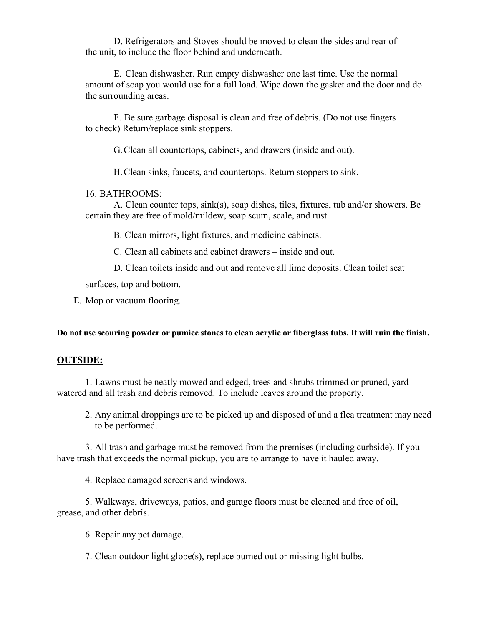D. Refrigerators and Stoves should be moved to clean the sides and rear of the unit, to include the floor behind and underneath.

E. Clean dishwasher. Run empty dishwasher one last time. Use the normal amount of soap you would use for a full load. Wipe down the gasket and the door and do the surrounding areas.

F. Be sure garbage disposal is clean and free of debris. (Do not use fingers to check) Return/replace sink stoppers.

G.Clean all countertops, cabinets, and drawers (inside and out).

H.Clean sinks, faucets, and countertops. Return stoppers to sink.

#### 16. BATHROOMS:

A. Clean counter tops, sink(s), soap dishes, tiles, fixtures, tub and/or showers. Be certain they are free of mold/mildew, soap scum, scale, and rust.

B. Clean mirrors, light fixtures, and medicine cabinets.

C. Clean all cabinets and cabinet drawers – inside and out.

D. Clean toilets inside and out and remove all lime deposits. Clean toilet seat

surfaces, top and bottom.

E. Mop or vacuum flooring.

Do not use scouring powder or pumice stones to clean acrylic or fiberglass tubs. It will ruin the finish.

#### **OUTSIDE:**

1. Lawns must be neatly mowed and edged, trees and shrubs trimmed or pruned, yard watered and all trash and debris removed. To include leaves around the property.

2. Any animal droppings are to be picked up and disposed of and a flea treatment may need to be performed.

3. All trash and garbage must be removed from the premises (including curbside). If you have trash that exceeds the normal pickup, you are to arrange to have it hauled away.

4. Replace damaged screens and windows.

5. Walkways, driveways, patios, and garage floors must be cleaned and free of oil, grease, and other debris.

6. Repair any pet damage.

7. Clean outdoor light globe(s), replace burned out or missing light bulbs.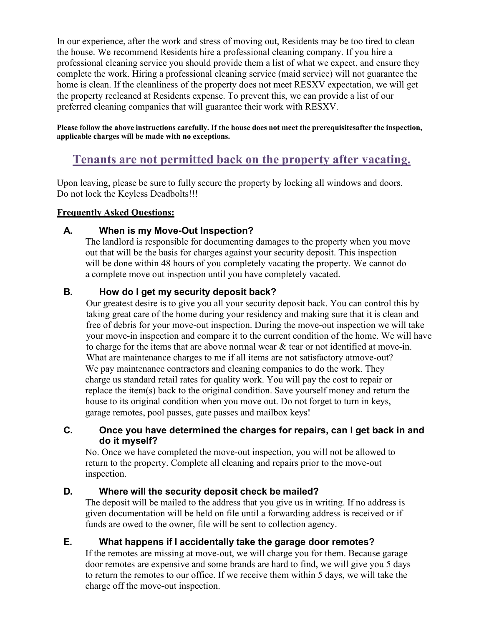In our experience, after the work and stress of moving out, Residents may be too tired to clean the house. We recommend Residents hire a professional cleaning company. If you hire a professional cleaning service you should provide them a list of what we expect, and ensure they complete the work. Hiring a professional cleaning service (maid service) will not guarantee the home is clean. If the cleanliness of the property does not meet RESXV expectation, we will get the property recleaned at Residents expense. To prevent this, we can provide a list of our preferred cleaning companies that will guarantee their work with RESXV.

Please follow the above instructions carefully. If the house does not meet the prerequisitesafter the inspection, **applicable charges will be made with no exceptions.**

# **Tenants are not permitted back on the property after vacating.**

Upon leaving, please be sure to fully secure the property by locking all windows and doors. Do not lock the Keyless Deadbolts!!!

#### **Frequently Asked Questions:**

### **A. When is my Move-Out Inspection?**

The landlord is responsible for documenting damages to the property when you move out that will be the basis for charges against your security deposit. This inspection will be done within 48 hours of you completely vacating the property. We cannot do a complete move out inspection until you have completely vacated.

### **B. How do I get my security deposit back?**

Our greatest desire is to give you all your security deposit back. You can control this by taking great care of the home during your residency and making sure that it is clean and free of debris for your move-out inspection. During the move-out inspection we will take your move-in inspection and compare it to the current condition of the home. We will have to charge for the items that are above normal wear & tear or not identified at move-in. What are maintenance charges to me if all items are not satisfactory atmove-out? We pay maintenance contractors and cleaning companies to do the work. They charge us standard retail rates for quality work. You will pay the cost to repair or replace the item(s) back to the original condition. Save yourself money and return the house to its original condition when you move out. Do not forget to turn in keys, garage remotes, pool passes, gate passes and mailbox keys!

#### **C. Once you have determined the charges for repairs, can I get back in and do it myself?**

No. Once we have completed the move-out inspection, you will not be allowed to return to the property. Complete all cleaning and repairs prior to the move-out inspection.

#### **D. Where will the security deposit check be mailed?**

The deposit will be mailed to the address that you give us in writing. If no address is given documentation will be held on file until a forwarding address is received or if funds are owed to the owner, file will be sent to collection agency.

# **E. What happens if I accidentally take the garage door remotes?**

If the remotes are missing at move-out, we will charge you for them. Because garage door remotes are expensive and some brands are hard to find, we will give you 5 days to return the remotes to our office. If we receive them within 5 days, we will take the charge off the move-out inspection.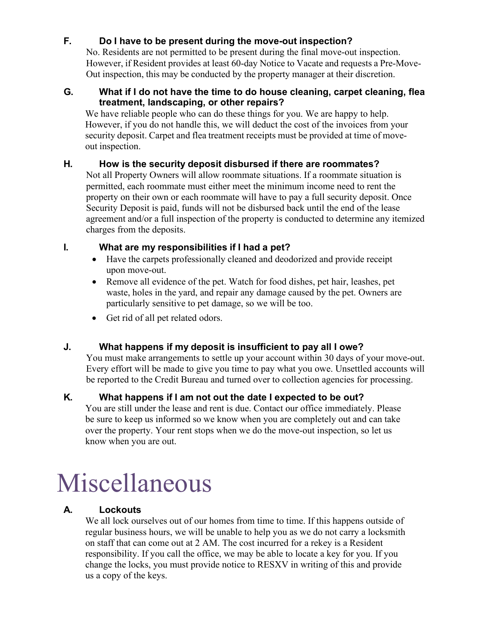# **F. Do I have to be present during the move-out inspection?**

No. Residents are not permitted to be present during the final move-out inspection. However, if Resident provides at least 60-day Notice to Vacate and requests a Pre-Move-Out inspection, this may be conducted by the property manager at their discretion.

#### **G. What if I do not have the time to do house cleaning, carpet cleaning, flea treatment, landscaping, or other repairs?**

We have reliable people who can do these things for you. We are happy to help. However, if you do not handle this, we will deduct the cost of the invoices from your security deposit. Carpet and flea treatment receipts must be provided at time of moveout inspection.

# **H. How is the security deposit disbursed if there are roommates?**

Not all Property Owners will allow roommate situations. If a roommate situation is permitted, each roommate must either meet the minimum income need to rent the property on their own or each roommate will have to pay a full security deposit. Once Security Deposit is paid, funds will not be disbursed back until the end of the lease agreement and/or a full inspection of the property is conducted to determine any itemized charges from the deposits.

### **I. What are my responsibilities if I had a pet?**

- Have the carpets professionally cleaned and deodorized and provide receipt upon move-out.
- Remove all evidence of the pet. Watch for food dishes, pet hair, leashes, pet waste, holes in the yard, and repair any damage caused by the pet. Owners are particularly sensitive to pet damage, so we will be too.
- Get rid of all pet related odors.

# **J. What happens if my deposit is insufficient to pay all I owe?**

You must make arrangements to settle up your account within 30 days of your move-out. Every effort will be made to give you time to pay what you owe. Unsettled accounts will be reported to the Credit Bureau and turned over to collection agencies for processing.

# **K. What happens if I am not out the date I expected to be out?**

You are still under the lease and rent is due. Contact our office immediately. Please be sure to keep us informed so we know when you are completely out and can take over the property. Your rent stops when we do the move-out inspection, so let us know when you are out.

# Miscellaneous

# **A. Lockouts**

We all lock ourselves out of our homes from time to time. If this happens outside of regular business hours, we will be unable to help you as we do not carry a locksmith on staff that can come out at 2 AM. The cost incurred for a rekey is a Resident responsibility. If you call the office, we may be able to locate a key for you. If you change the locks, you must provide notice to RESXV in writing of this and provide us a copy of the keys.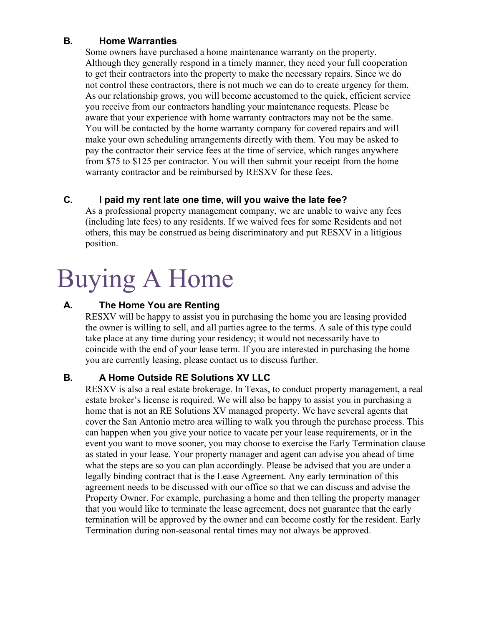### **B. Home Warranties**

Some owners have purchased a home maintenance warranty on the property. Although they generally respond in a timely manner, they need your full cooperation to get their contractors into the property to make the necessary repairs. Since we do not control these contractors, there is not much we can do to create urgency for them. As our relationship grows, you will become accustomed to the quick, efficient service you receive from our contractors handling your maintenance requests. Please be aware that your experience with home warranty contractors may not be the same. You will be contacted by the home warranty company for covered repairs and will make your own scheduling arrangements directly with them. You may be asked to pay the contractor their service fees at the time of service, which ranges anywhere from \$75 to \$125 per contractor. You will then submit your receipt from the home warranty contractor and be reimbursed by RESXV for these fees.

# **C. I paid my rent late one time, will you waive the late fee?**

As a professional property management company, we are unable to waive any fees (including late fees) to any residents. If we waived fees for some Residents and not others, this may be construed as being discriminatory and put RESXV in a litigious position.

# Buying A Home

# **A. The Home You are Renting**

RESXV will be happy to assist you in purchasing the home you are leasing provided the owner is willing to sell, and all parties agree to the terms. A sale of this type could take place at any time during your residency; it would not necessarily have to coincide with the end of your lease term. If you are interested in purchasing the home you are currently leasing, please contact us to discuss further.

# **B. A Home Outside RE Solutions XV LLC**

RESXV is also a real estate brokerage. In Texas, to conduct property management, a real estate broker's license is required. We will also be happy to assist you in purchasing a home that is not an RE Solutions XV managed property. We have several agents that cover the San Antonio metro area willing to walk you through the purchase process. This can happen when you give your notice to vacate per your lease requirements, or in the event you want to move sooner, you may choose to exercise the Early Termination clause as stated in your lease. Your property manager and agent can advise you ahead of time what the steps are so you can plan accordingly. Please be advised that you are under a legally binding contract that is the Lease Agreement. Any early termination of this agreement needs to be discussed with our office so that we can discuss and advise the Property Owner. For example, purchasing a home and then telling the property manager that you would like to terminate the lease agreement, does not guarantee that the early termination will be approved by the owner and can become costly for the resident. Early Termination during non-seasonal rental times may not always be approved.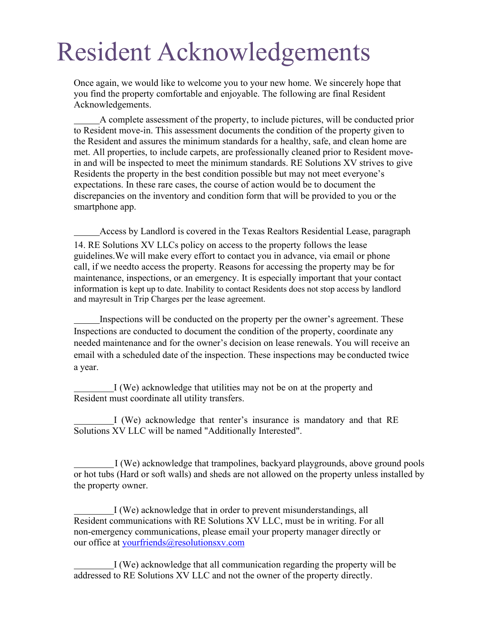# Resident Acknowledgements

Once again, we would like to welcome you to your new home. We sincerely hope that you find the property comfortable and enjoyable. The following are final Resident Acknowledgements.

A complete assessment of the property, to include pictures, will be conducted prior to Resident move-in. This assessment documents the condition of the property given to the Resident and assures the minimum standards for a healthy, safe, and clean home are met. All properties, to include carpets, are professionally cleaned prior to Resident movein and will be inspected to meet the minimum standards. RE Solutions XV strives to give Residents the property in the best condition possible but may not meet everyone's expectations. In these rare cases, the course of action would be to document the discrepancies on the inventory and condition form that will be provided to you or the smartphone app.

Access by Landlord is covered in the Texas Realtors Residential Lease, paragraph 14. RE Solutions XV LLCs policy on access to the property follows the lease guidelines.We will make every effort to contact you in advance, via email or phone call, if we needto access the property. Reasons for accessing the property may be for maintenance, inspections, or an emergency. It is especially important that your contact information is kept up to date. Inability to contact Residents does not stop access by landlord and mayresult in Trip Charges per the lease agreement.

Inspections will be conducted on the property per the owner's agreement. These Inspections are conducted to document the condition of the property, coordinate any needed maintenance and for the owner's decision on lease renewals. You will receive an email with a scheduled date of the inspection. These inspections may be conducted twice a year.

I (We) acknowledge that utilities may not be on at the property and Resident must coordinate all utility transfers.

I (We) acknowledge that renter's insurance is mandatory and that RE Solutions XV LLC will be named "Additionally Interested".

I (We) acknowledge that trampolines, backyard playgrounds, above ground pools or hot tubs (Hard or soft walls) and sheds are not allowed on the property unless installed by the property owner.

I (We) acknowledge that in order to prevent misunderstandings, all Resident communications with RE Solutions XV LLC, must be in writing. For all non-emergency communications, please email your property manager directly or our office at [yourfriends@resolutionsxv.com](mailto:yourfriends@resolutionsxv.com)

I (We) acknowledge that all communication regarding the property will be addressed to RE Solutions XV LLC and not the owner of the property directly.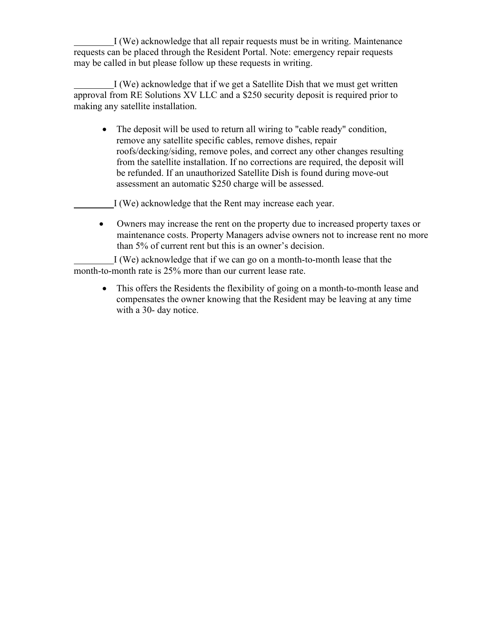I (We) acknowledge that all repair requests must be in writing. Maintenance requests can be placed through the Resident Portal. Note: emergency repair requests may be called in but please follow up these requests in writing.

I (We) acknowledge that if we get a Satellite Dish that we must get written approval from RE Solutions XV LLC and a \$250 security deposit is required prior to making any satellite installation.

• The deposit will be used to return all wiring to "cable ready" condition, remove any satellite specific cables, remove dishes, repair roofs/decking/siding, remove poles, and correct any other changes resulting from the satellite installation. If no corrections are required, the deposit will be refunded. If an unauthorized Satellite Dish is found during move-out assessment an automatic \$250 charge will be assessed.

I (We) acknowledge that the Rent may increase each year.

• Owners may increase the rent on the property due to increased property taxes or maintenance costs. Property Managers advise owners not to increase rent no more than 5% of current rent but this is an owner's decision.

I (We) acknowledge that if we can go on a month-to-month lease that the month-to-month rate is 25% more than our current lease rate.

• This offers the Residents the flexibility of going on a month-to-month lease and compensates the owner knowing that the Resident may be leaving at any time with a 30- day notice.